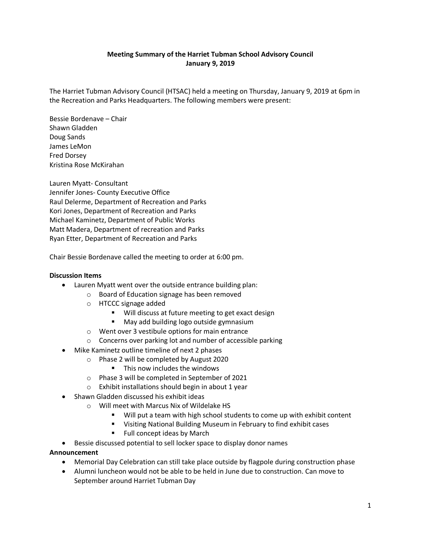# **Meeting Summary of the Harriet Tubman School Advisory Council January 9, 2019**

The Harriet Tubman Advisory Council (HTSAC) held a meeting on Thursday, January 9, 2019 at 6pm in the Recreation and Parks Headquarters. The following members were present:

Bessie Bordenave – Chair Shawn Gladden Doug Sands James LeMon Fred Dorsey Kristina Rose McKirahan

Lauren Myatt- Consultant Jennifer Jones- County Executive Office Raul Delerme, Department of Recreation and Parks Kori Jones, Department of Recreation and Parks Michael Kaminetz, Department of Public Works Matt Madera, Department of recreation and Parks Ryan Etter, Department of Recreation and Parks

Chair Bessie Bordenave called the meeting to order at 6:00 pm.

#### **Discussion Items**

- Lauren Myatt went over the outside entrance building plan:
	- o Board of Education signage has been removed
	- o HTCCC signage added
		- **Will discuss at future meeting to get exact design**
		- **May add building logo outside gymnasium**
	- o Went over 3 vestibule options for main entrance
	- o Concerns over parking lot and number of accessible parking
- Mike Kaminetz outline timeline of next 2 phases
	- o Phase 2 will be completed by August 2020
		- This now includes the windows
	- o Phase 3 will be completed in September of 2021
	- o Exhibit installations should begin in about 1 year
- Shawn Gladden discussed his exhibit ideas
	- o Will meet with Marcus Nix of Wildelake HS
		- Will put a team with high school students to come up with exhibit content
		- Visiting National Building Museum in February to find exhibit cases
		- Full concept ideas by March

• Bessie discussed potential to sell locker space to display donor names

#### **Announcement**

- Memorial Day Celebration can still take place outside by flagpole during construction phase
- Alumni luncheon would not be able to be held in June due to construction. Can move to September around Harriet Tubman Day